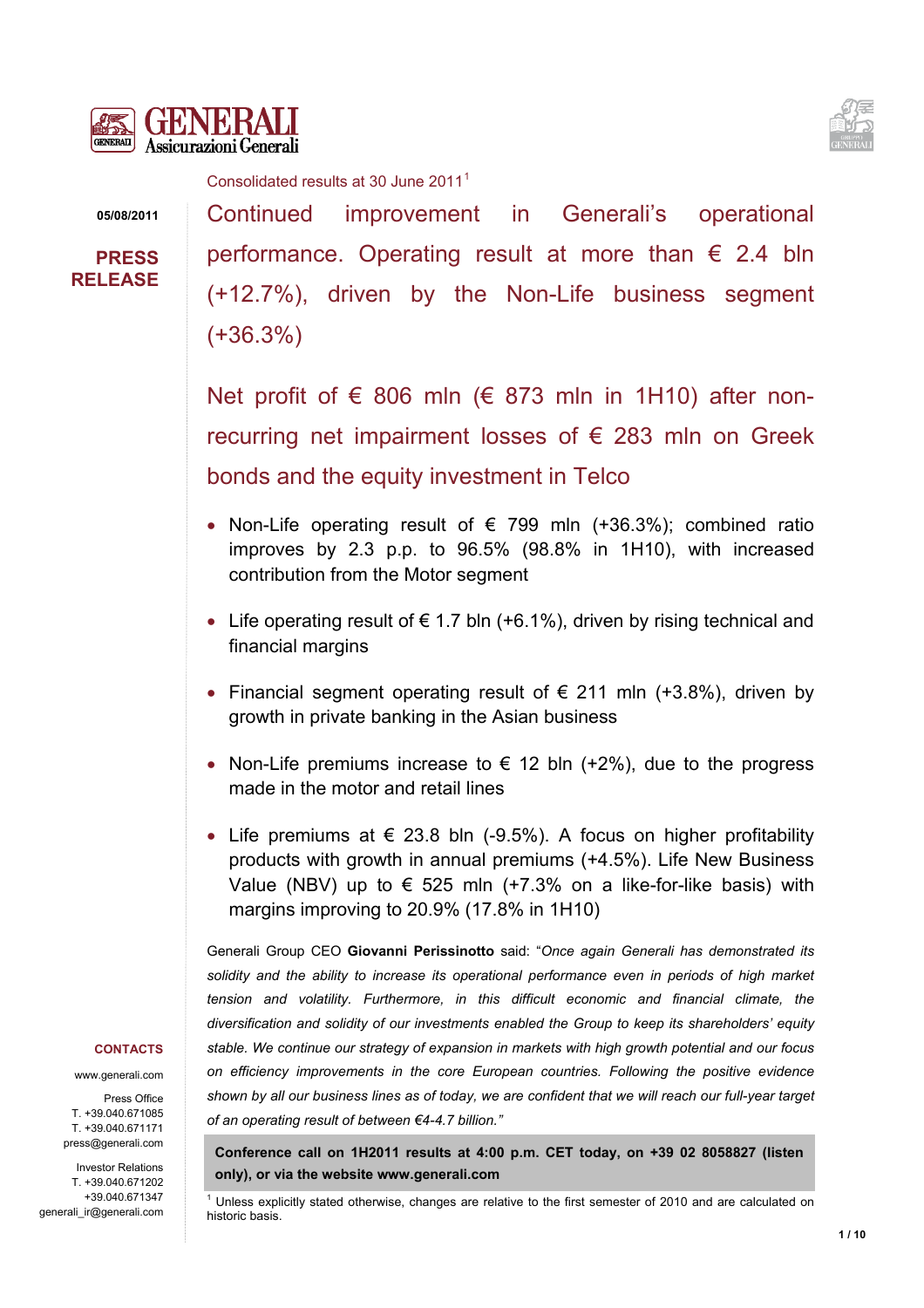



Consolidated results at 30 June 20[1](#page-0-0)1<sup>1</sup>

**05/08/2011** 

**PRESS RELEASE** Continued improvement in Generali's operational performance. Operating result at more than  $\epsilon$  2.4 bln (+12.7%), driven by the Non-Life business segment (+36.3%)

Net profit of  $\epsilon$  806 mln ( $\epsilon$  873 mln in 1H10) after nonrecurring net impairment losses of  $\epsilon$  283 mln on Greek bonds and the equity investment in Telco

- Non-Life operating result of  $\epsilon$  799 mln (+36.3%); combined ratio improves by 2.3 p.p. to 96.5% (98.8% in 1H10), with increased contribution from the Motor segment
- Life operating result of  $\epsilon$  1.7 bln (+6.1%), driven by rising technical and financial margins
- Financial segment operating result of  $\epsilon$  211 mln (+3.8%), driven by growth in private banking in the Asian business
- Non-Life premiums increase to  $\epsilon$  12 bln (+2%), due to the progress made in the motor and retail lines
- Life premiums at  $\epsilon$  23.8 bln (-9.5%). A focus on higher profitability products with growth in annual premiums (+4.5%). Life New Business Value (NBV) up to € 525 mln (+7.3% on a like-for-like basis) with margins improving to 20.9% (17.8% in 1H10)

Generali Group CEO **Giovanni Perissinotto** said: "*Once again Generali has demonstrated its solidity and the ability to increase its operational performance even in periods of high market tension and volatility. Furthermore, in this difficult economic and financial climate, the diversification and solidity of our investments enabled the Group to keep its shareholders' equity stable. We continue our strategy of expansion in markets with high growth potential and our focus on efficiency improvements in the core European countries. Following the positive evidence shown by all our business lines as of today, we are confident that we will reach our full-year target of an operating result of between €4-4.7 billion."*

**Conference call on 1H2011 results at 4:00 p.m. CET today, on +39 02 8058827 (listen only), or via the website [www.generali.com](http://www.generali.com/)** 

#### **CONTACTS**

www.generali.com

Press Office T. +39.040.671085 T. +39.040.671171 press@generali.com

<span id="page-0-0"></span>Investor Relations T. +39.040.671202 +39.040.671347 generali\_ir@generali.com

<sup>&</sup>lt;sup>1</sup> Unless explicitly stated otherwise, changes are relative to the first semester of 2010 and are calculated on historic basis.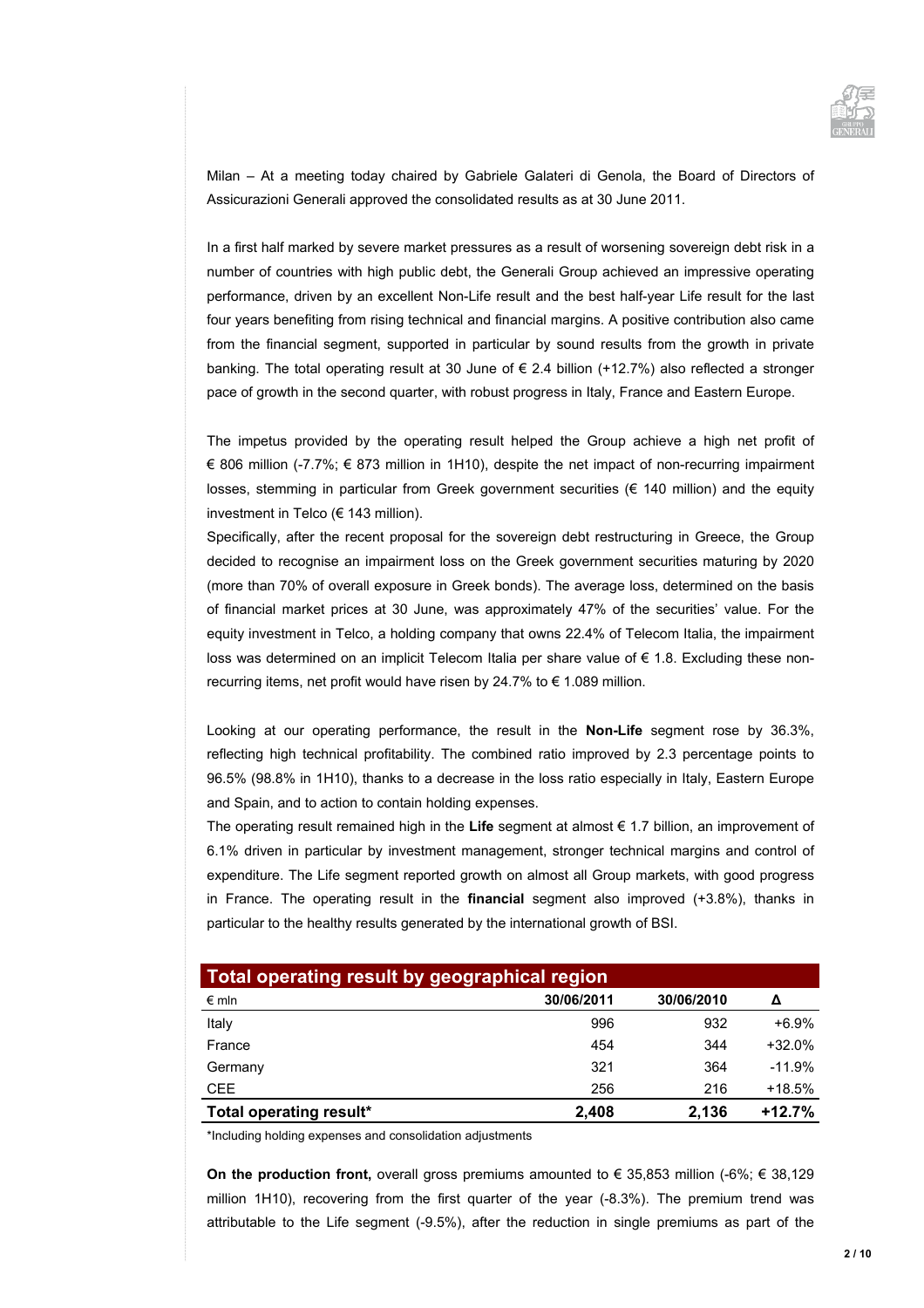

Milan – At a meeting today chaired by Gabriele Galateri di Genola, the Board of Directors of Assicurazioni Generali approved the consolidated results as at 30 June 2011.

In a first half marked by severe market pressures as a result of worsening sovereign debt risk in a number of countries with high public debt, the Generali Group achieved an impressive operating performance, driven by an excellent Non-Life result and the best half-year Life result for the last four years benefiting from rising technical and financial margins. A positive contribution also came from the financial segment, supported in particular by sound results from the growth in private banking. The total operating result at 30 June of € 2.4 billion (+12.7%) also reflected a stronger pace of growth in the second quarter, with robust progress in Italy, France and Eastern Europe.

The impetus provided by the operating result helped the Group achieve a high net profit of € 806 million (-7.7%; € 873 million in 1H10), despite the net impact of non-recurring impairment losses, stemming in particular from Greek government securities (€ 140 million) and the equity investment in Telco (€ 143 million).

Specifically, after the recent proposal for the sovereign debt restructuring in Greece, the Group decided to recognise an impairment loss on the Greek government securities maturing by 2020 (more than 70% of overall exposure in Greek bonds). The average loss, determined on the basis of financial market prices at 30 June, was approximately 47% of the securities' value. For the equity investment in Telco, a holding company that owns 22.4% of Telecom Italia, the impairment loss was determined on an implicit Telecom Italia per share value of  $\epsilon$  1.8. Excluding these nonrecurring items, net profit would have risen by 24.7% to € 1.089 million.

Looking at our operating performance, the result in the **Non-Life** segment rose by 36.3%, reflecting high technical profitability. The combined ratio improved by 2.3 percentage points to 96.5% (98.8% in 1H10), thanks to a decrease in the loss ratio especially in Italy, Eastern Europe and Spain, and to action to contain holding expenses.

The operating result remained high in the **Life** segment at almost € 1.7 billion, an improvement of 6.1% driven in particular by investment management, stronger technical margins and control of expenditure. The Life segment reported growth on almost all Group markets, with good progress in France. The operating result in the **financial** segment also improved (+3.8%), thanks in particular to the healthy results generated by the international growth of BSI.

| Total operating result by geographical region |            |            |          |  |  |
|-----------------------------------------------|------------|------------|----------|--|--|
| $\epsilon$ mln                                | 30/06/2011 | 30/06/2010 | Δ        |  |  |
| Italy                                         | 996        | 932        | $+6.9%$  |  |  |
| France                                        | 454        | 344        | $+32.0%$ |  |  |
| Germany                                       | 321        | 364        | $-11.9%$ |  |  |
| <b>CEE</b>                                    | 256        | 216        | $+18.5%$ |  |  |
| Total operating result*                       | 2.408      | 2.136      | $+12.7%$ |  |  |

\*Including holding expenses and consolidation adjustments

**On the production front,** overall gross premiums amounted to € 35,853 million (-6%; € 38,129 million 1H10), recovering from the first quarter of the year (-8.3%). The premium trend was attributable to the Life segment (-9.5%), after the reduction in single premiums as part of the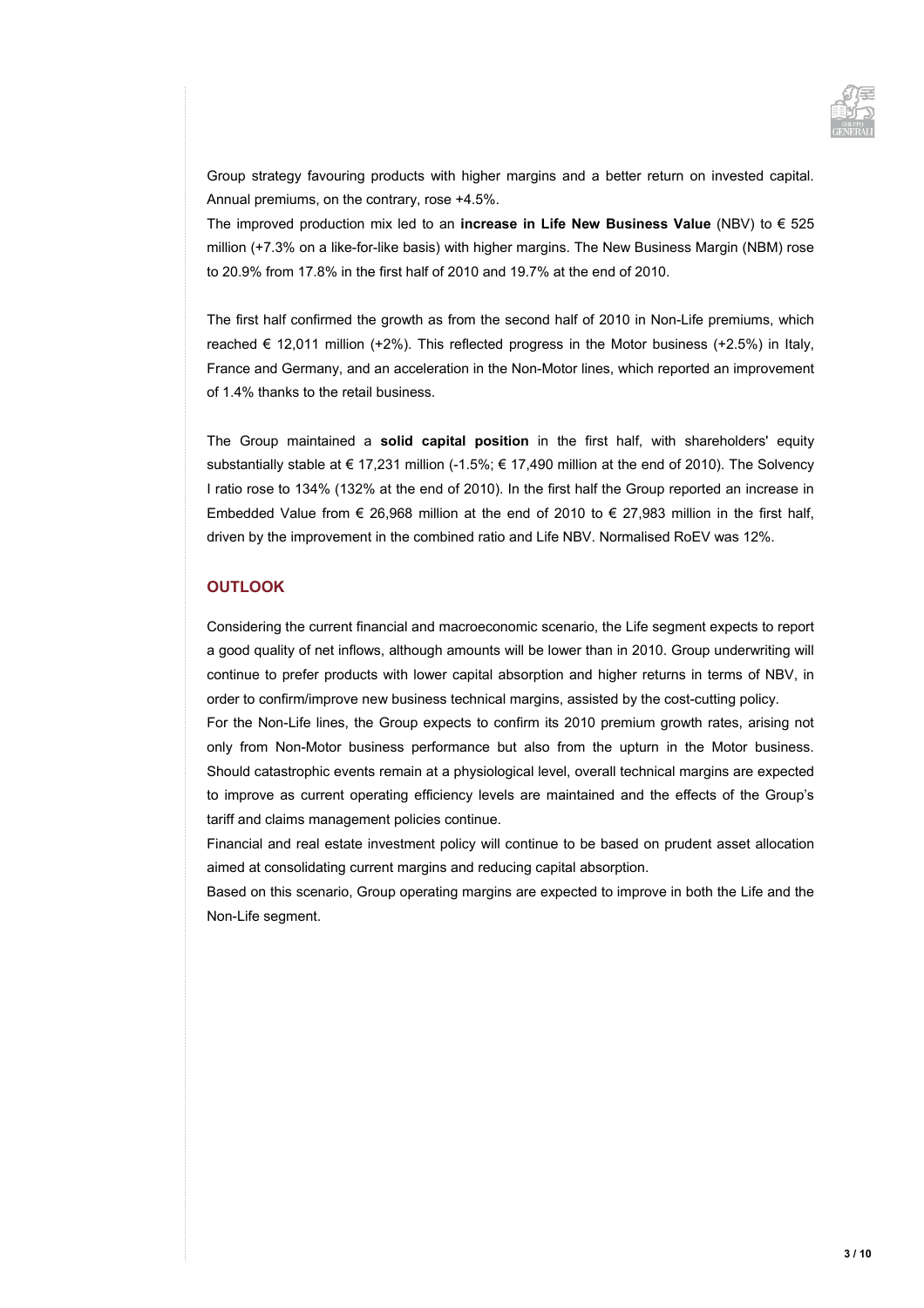

Group strategy favouring products with higher margins and a better return on invested capital. Annual premiums, on the contrary, rose +4.5%.

The improved production mix led to an **increase in Life New Business Value** (NBV) to € 525 million (+7.3% on a like-for-like basis) with higher margins. The New Business Margin (NBM) rose to 20.9% from 17.8% in the first half of 2010 and 19.7% at the end of 2010.

The first half confirmed the growth as from the second half of 2010 in Non-Life premiums, which reached  $\in$  12,011 million (+2%). This reflected progress in the Motor business (+2.5%) in Italy, France and Germany, and an acceleration in the Non-Motor lines, which reported an improvement of 1.4% thanks to the retail business.

The Group maintained a **solid capital position** in the first half, with shareholders' equity substantially stable at € 17,231 million (-1.5%; € 17,490 million at the end of 2010). The Solvency I ratio rose to 134% (132% at the end of 2010). In the first half the Group reported an increase in Embedded Value from  $\epsilon$  26,968 million at the end of 2010 to  $\epsilon$  27,983 million in the first half, driven by the improvement in the combined ratio and Life NBV. Normalised RoEV was 12%.

### **OUTLOOK**

Considering the current financial and macroeconomic scenario, the Life segment expects to report a good quality of net inflows, although amounts will be lower than in 2010. Group underwriting will continue to prefer products with lower capital absorption and higher returns in terms of NBV, in order to confirm/improve new business technical margins, assisted by the cost-cutting policy.

For the Non-Life lines, the Group expects to confirm its 2010 premium growth rates, arising not only from Non-Motor business performance but also from the upturn in the Motor business. Should catastrophic events remain at a physiological level, overall technical margins are expected to improve as current operating efficiency levels are maintained and the effects of the Group's tariff and claims management policies continue.

Financial and real estate investment policy will continue to be based on prudent asset allocation aimed at consolidating current margins and reducing capital absorption.

Based on this scenario, Group operating margins are expected to improve in both the Life and the Non-Life segment.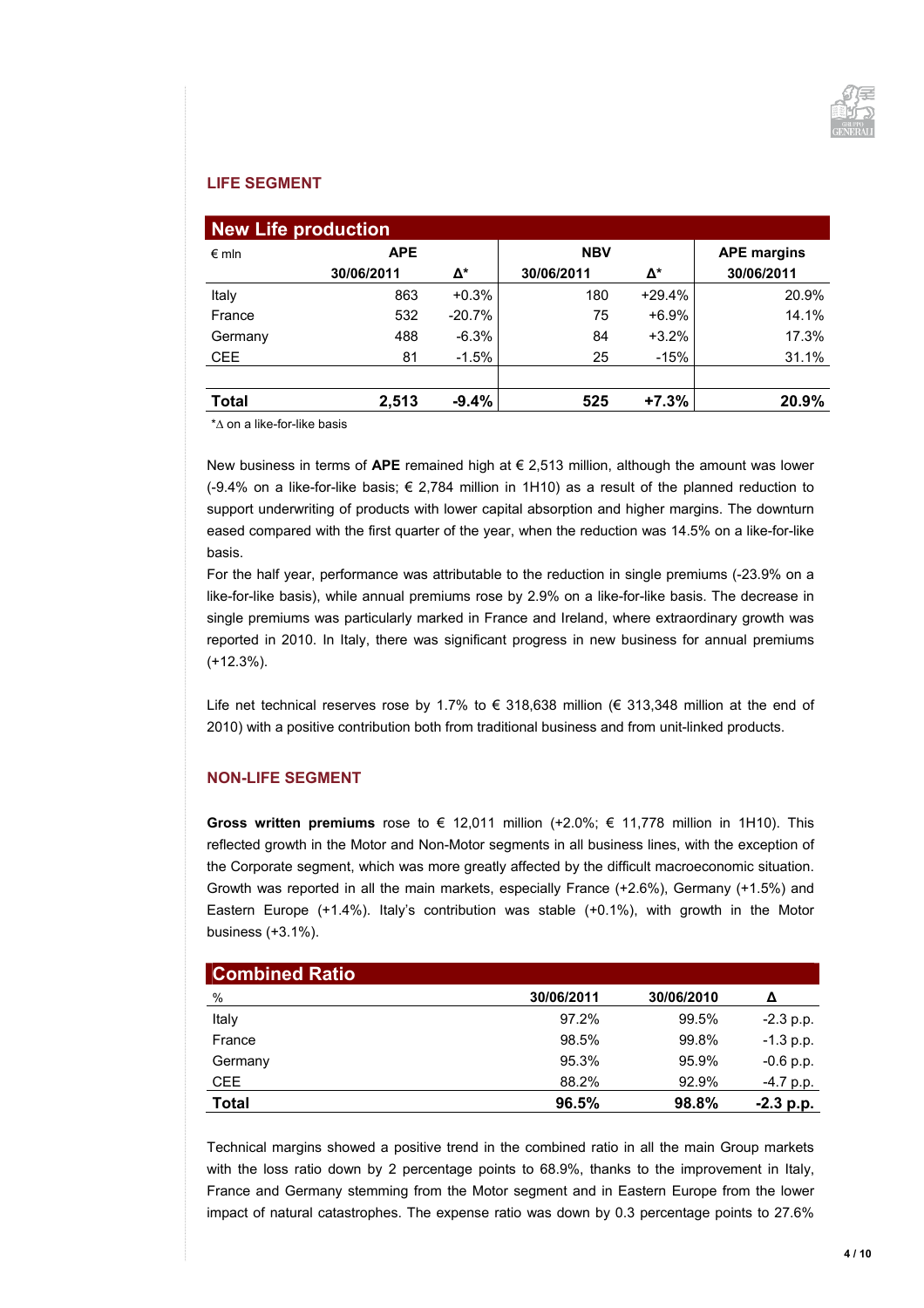

### **LIFE SEGMENT**

| <b>New Life production</b> |            |          |            |          |                    |  |
|----------------------------|------------|----------|------------|----------|--------------------|--|
| $\epsilon$ mln             | <b>APE</b> |          | <b>NBV</b> |          | <b>APE margins</b> |  |
|                            | 30/06/2011 | Δ*       | 30/06/2011 | Δ*       | 30/06/2011         |  |
| Italy                      | 863        | $+0.3%$  | 180        | $+29.4%$ | 20.9%              |  |
| France                     | 532        | $-20.7%$ | 75         | $+6.9%$  | 14.1%              |  |
| Germany                    | 488        | $-6.3%$  | 84         | $+3.2%$  | 17.3%              |  |
| <b>CEE</b>                 | 81         | $-1.5%$  | 25         | $-15%$   | 31.1%              |  |
|                            |            |          |            |          |                    |  |
| <b>Total</b>               | 2,513      | $-9.4%$  | 525        | $+7.3%$  | 20.9%              |  |

\*∆ on a like-for-like basis

New business in terms of **APE** remained high at € 2,513 million, although the amount was lower (-9.4% on a like-for-like basis;  $\epsilon$  2.784 million in 1H10) as a result of the planned reduction to support underwriting of products with lower capital absorption and higher margins. The downturn eased compared with the first quarter of the year, when the reduction was 14.5% on a like-for-like basis.

For the half year, performance was attributable to the reduction in single premiums (-23.9% on a like-for-like basis), while annual premiums rose by 2.9% on a like-for-like basis. The decrease in single premiums was particularly marked in France and Ireland, where extraordinary growth was reported in 2010. In Italy, there was significant progress in new business for annual premiums (+12.3%).

Life net technical reserves rose by 1.7% to € 318,638 million (€ 313,348 million at the end of 2010) with a positive contribution both from traditional business and from unit-linked products.

#### **NON-LIFE SEGMENT**

**Gross written premiums** rose to € 12,011 million (+2.0%; € 11,778 million in 1H10). This reflected growth in the Motor and Non-Motor segments in all business lines, with the exception of the Corporate segment, which was more greatly affected by the difficult macroeconomic situation. Growth was reported in all the main markets, especially France (+2.6%), Germany (+1.5%) and Eastern Europe (+1.4%). Italy's contribution was stable (+0.1%), with growth in the Motor business (+3.1%).

| <b>Combined Ratio</b> |            |            |             |
|-----------------------|------------|------------|-------------|
| %                     | 30/06/2011 | 30/06/2010 | Δ           |
| Italy                 | 97.2%      | 99.5%      | $-2.3$ p.p. |
| France                | 98.5%      | 99.8%      | $-1.3$ p.p. |
| Germany               | 95.3%      | 95.9%      | $-0.6$ p.p. |
| <b>CEE</b>            | 88.2%      | 92.9%      | -4.7 p.p.   |
| <b>Total</b>          | 96.5%      | 98.8%      | $-2.3$ p.p. |

Technical margins showed a positive trend in the combined ratio in all the main Group markets with the loss ratio down by 2 percentage points to 68.9%, thanks to the improvement in Italy, France and Germany stemming from the Motor segment and in Eastern Europe from the lower impact of natural catastrophes. The expense ratio was down by 0.3 percentage points to 27.6%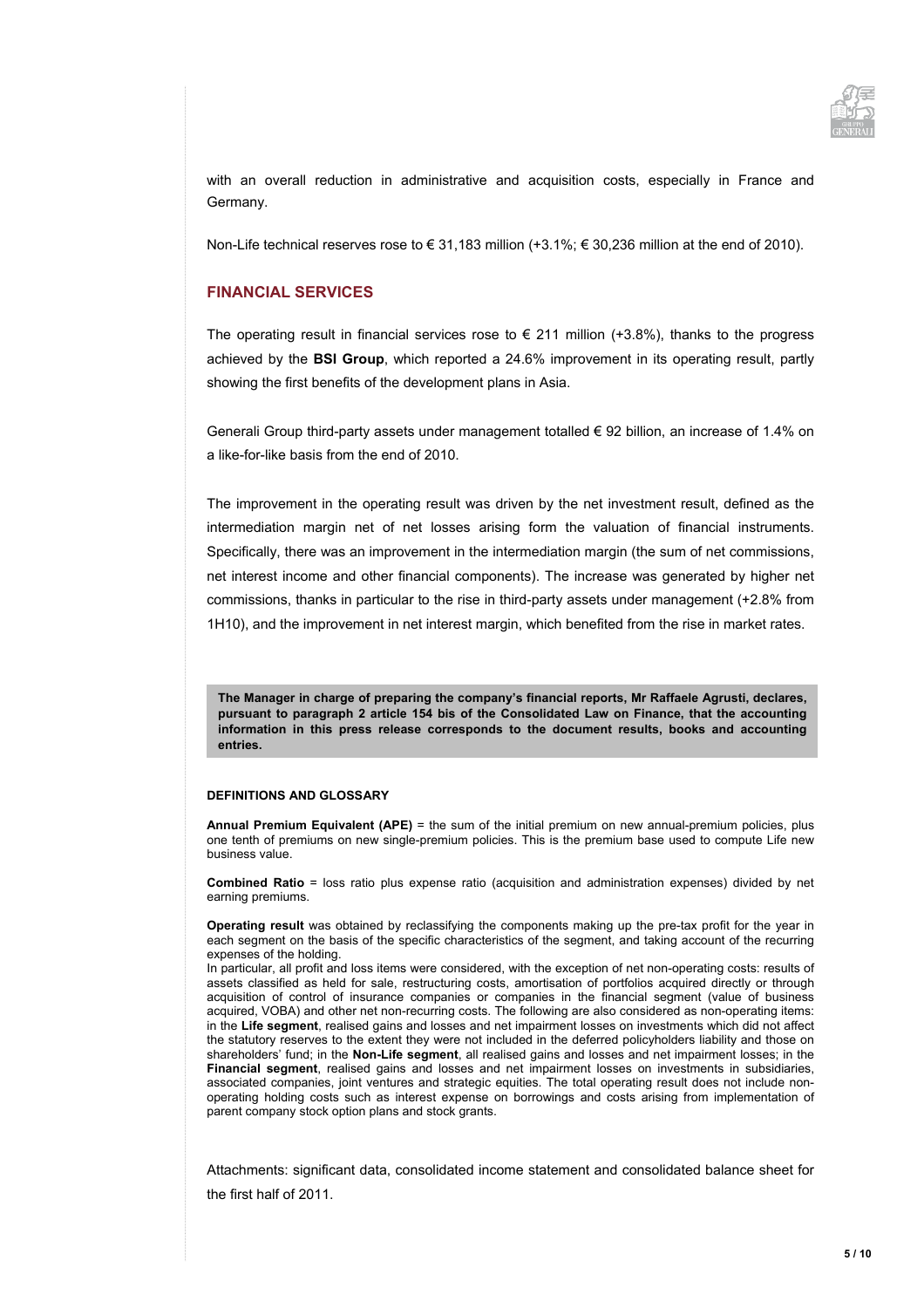

with an overall reduction in administrative and acquisition costs, especially in France and Germany.

Non-Life technical reserves rose to € 31,183 million (+3.1%; € 30,236 million at the end of 2010).

#### **FINANCIAL SERVICES**

The operating result in financial services rose to  $\epsilon$  211 million (+3.8%), thanks to the progress achieved by the **BSI Group**, which reported a 24.6% improvement in its operating result, partly showing the first benefits of the development plans in Asia.

Generali Group third-party assets under management totalled € 92 billion, an increase of 1.4% on a like-for-like basis from the end of 2010.

The improvement in the operating result was driven by the net investment result, defined as the intermediation margin net of net losses arising form the valuation of financial instruments. Specifically, there was an improvement in the intermediation margin (the sum of net commissions, net interest income and other financial components). The increase was generated by higher net commissions, thanks in particular to the rise in third-party assets under management (+2.8% from 1H10), and the improvement in net interest margin, which benefited from the rise in market rates.

**The Manager in charge of preparing the company's financial reports, Mr Raffaele Agrusti, declares, pursuant to paragraph 2 article 154 bis of the Consolidated Law on Finance, that the accounting information in this press release corresponds to the document results, books and accounting entries.** 

#### **DEFINITIONS AND GLOSSARY**

**Annual Premium Equivalent (APE)** = the sum of the initial premium on new annual-premium policies, plus one tenth of premiums on new single-premium policies. This is the premium base used to compute Life new business value.

**Combined Ratio** = loss ratio plus expense ratio (acquisition and administration expenses) divided by net earning premiums.

**Operating result** was obtained by reclassifying the components making up the pre-tax profit for the year in each segment on the basis of the specific characteristics of the segment, and taking account of the recurring expenses of the holding.

In particular, all profit and loss items were considered, with the exception of net non-operating costs: results of assets classified as held for sale, restructuring costs, amortisation of portfolios acquired directly or through acquisition of control of insurance companies or companies in the financial segment (value of business acquired, VOBA) and other net non-recurring costs. The following are also considered as non-operating items: in the **Life segment**, realised gains and losses and net impairment losses on investments which did not affect the statutory reserves to the extent they were not included in the deferred policyholders liability and those on shareholders' fund; in the **Non-Life segment**, all realised gains and losses and net impairment losses; in the **Financial segment**, realised gains and losses and net impairment losses on investments in subsidiaries, associated companies, joint ventures and strategic equities. The total operating result does not include nonoperating holding costs such as interest expense on borrowings and costs arising from implementation of parent company stock option plans and stock grants.

Attachments: significant data, consolidated income statement and consolidated balance sheet for the first half of 2011.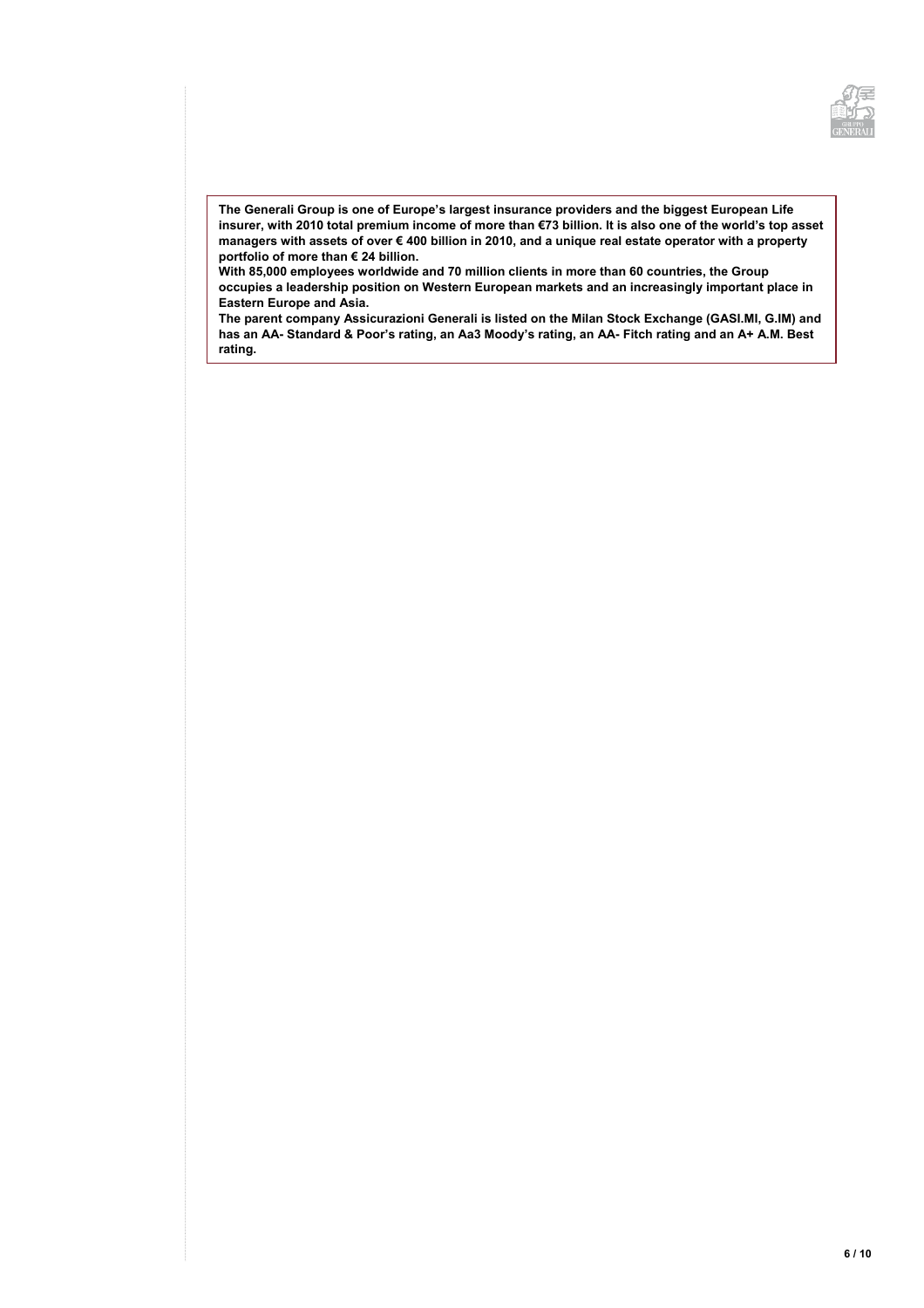

**The Generali Group is one of Europe's largest insurance providers and the biggest European Life insurer, with 2010 total premium income of more than €73 billion. It is also one of the world's top asset managers with assets of over € 400 billion in 2010, and a unique real estate operator with a property portfolio of more than € 24 billion.** 

**With 85,000 employees worldwide and 70 million clients in more than 60 countries, the Group occupies a leadership position on Western European markets and an increasingly important place in Eastern Europe and Asia.** 

**The parent company Assicurazioni Generali is listed on the Milan Stock Exchange (GASI.MI, G.IM) and has an AA- Standard & Poor's rating, an Aa3 Moody's rating, an AA- Fitch rating and an A+ A.M. Best rating.**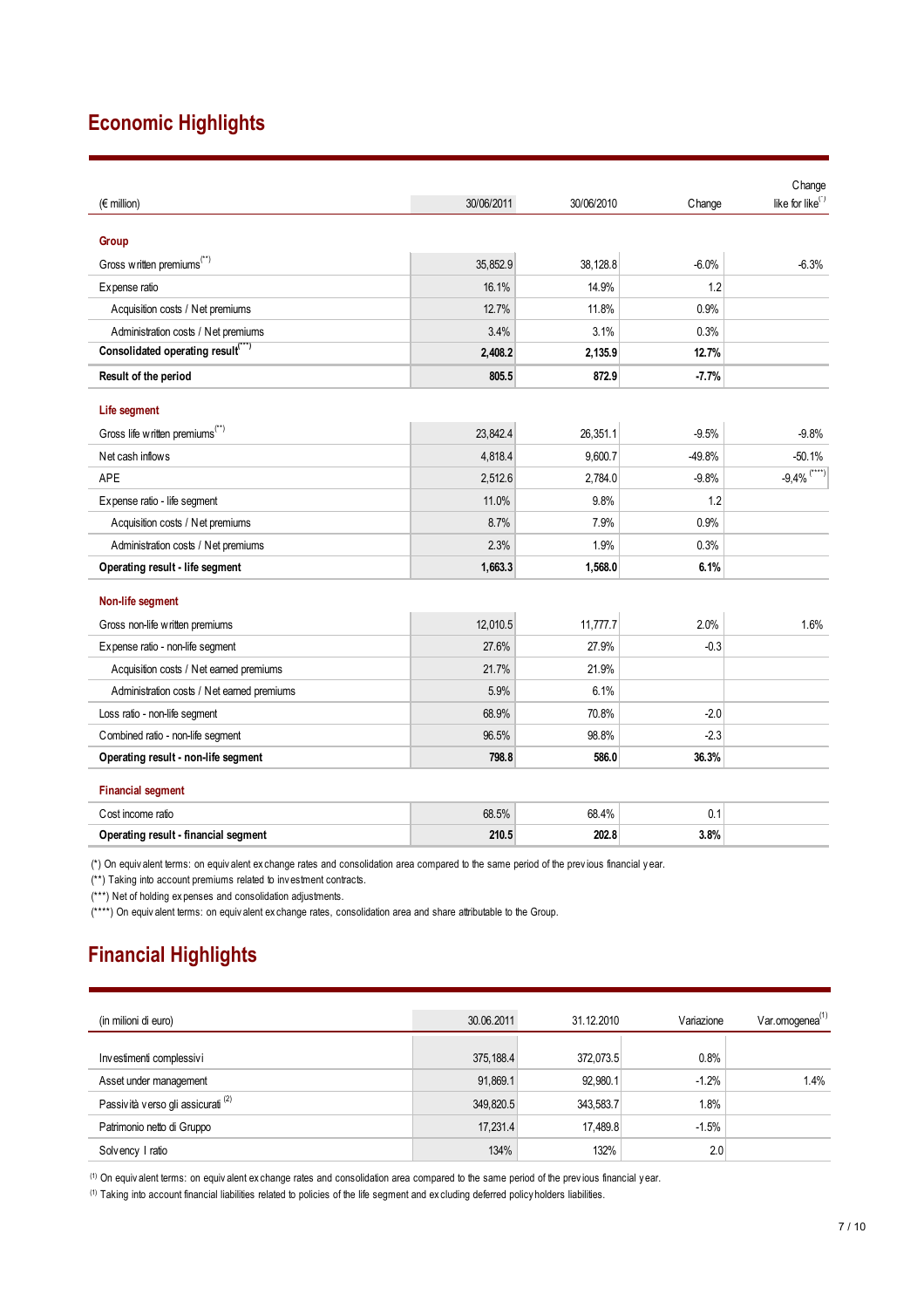# **Economic Highlights**

| Change                       |
|------------------------------|
| like for like <sup>(*)</sup> |
|                              |
|                              |
| $-6.3%$                      |
|                              |
|                              |
|                              |
|                              |
|                              |
|                              |
| $-9.8%$                      |
| $-50.1%$                     |
| $-9,4%$ <sup>(****)</sup>    |
|                              |
|                              |
|                              |
|                              |
|                              |
| 1.6%                         |
|                              |
|                              |
|                              |
|                              |
|                              |
|                              |
|                              |
|                              |
|                              |
|                              |

(\*) On equiv alent terms: on equiv alent ex change rates and consolidation area compared to the same period of the prev ious financial y ear.

(\*\*) Taking into account premiums related to inv estment contracts.

(\*\*\*) Net of holding ex penses and consolidation adjustments.

(\*\*\*\*) On equiv alent terms: on equiv alent ex change rates, consolidation area and share attributable to the Group.

# **Financial Highlights**

| (in milioni di euro)               | 30.06.2011 | 31.12.2010 | Variazione | Var.omogenea <sup>(1)</sup> |
|------------------------------------|------------|------------|------------|-----------------------------|
|                                    |            |            |            |                             |
| Investimenti complessivi           | 375, 188.4 | 372.073.5  | 0.8%       |                             |
| Asset under management             | 91,869.1   | 92.980.1   | $-1.2%$    | 1.4%                        |
| Passività verso gli assicurati (2) | 349,820.5  | 343,583.7  | 1.8%       |                             |
| Patrimonio netto di Gruppo         | 17,231.4   | 17,489.8   | $-1.5%$    |                             |
| Solvency I ratio                   | 134%       | 132%       | 2.0        |                             |

(1) On equiv alent terms: on equiv alent ex change rates and consolidation area compared to the same period of the prev ious financial y ear.

(1) Taking into account financial liabilities related to policies of the life segment and ex cluding deferred policy holders liabilities.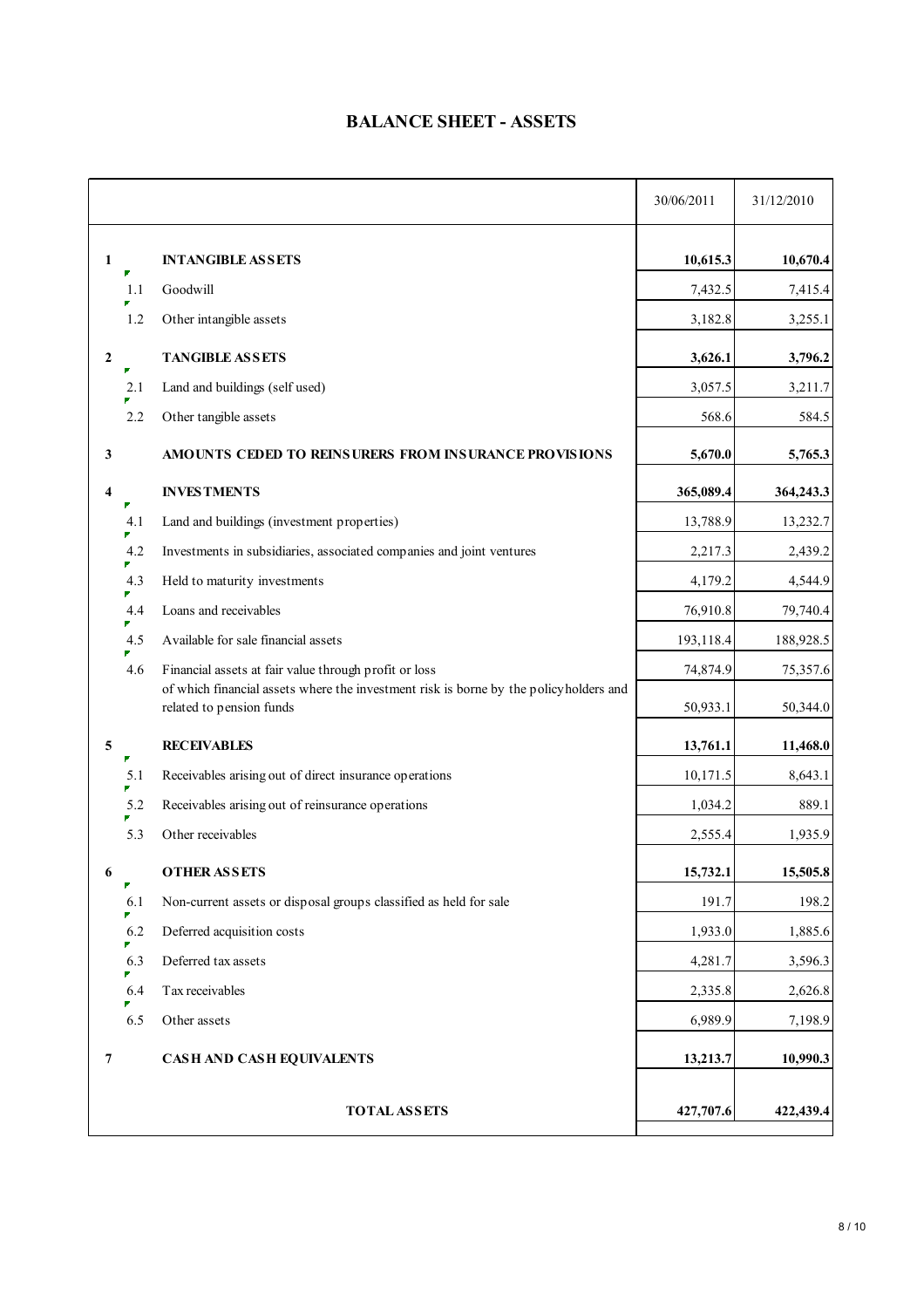## **BALANCE SHEET - ASSETS**

|              |     |                                                                                                                                                | 30/06/2011 | 31/12/2010 |
|--------------|-----|------------------------------------------------------------------------------------------------------------------------------------------------|------------|------------|
| 1            |     | <b>INTANGIBLE ASSETS</b>                                                                                                                       | 10,615.3   | 10,670.4   |
|              | 1.1 | Goodwill                                                                                                                                       | 7,432.5    | 7,415.4    |
|              | 1.2 | Other intangible assets                                                                                                                        | 3,182.8    | 3,255.1    |
| $\mathbf{2}$ |     | <b>TANGIBLE ASSETS</b>                                                                                                                         | 3,626.1    | 3,796.2    |
|              | 2.1 | Land and buildings (self used)                                                                                                                 | 3,057.5    | 3,211.7    |
|              | 2.2 | Other tangible assets                                                                                                                          | 568.6      | 584.5      |
| 3            |     | AMOUNTS CEDED TO REINSURERS FROM INSURANCE PROVISIONS                                                                                          | 5,670.0    | 5,765.3    |
| 4            |     | <b>INVESTMENTS</b>                                                                                                                             | 365,089.4  | 364,243.3  |
|              | 4.1 | Land and buildings (investment properties)                                                                                                     | 13,788.9   | 13,232.7   |
|              | 4.2 | Investments in subsidiaries, associated companies and joint ventures                                                                           | 2,217.3    | 2,439.2    |
|              | 4.3 | Held to maturity investments                                                                                                                   | 4,179.2    | 4,544.9    |
|              | 4.4 | Loans and receivables                                                                                                                          | 76,910.8   | 79,740.4   |
|              | 4.5 | Available for sale financial assets                                                                                                            | 193,118.4  | 188,928.5  |
|              | 4.6 | Financial assets at fair value through profit or loss<br>of which financial assets where the investment risk is borne by the policyholders and | 74,874.9   | 75,357.6   |
|              |     | related to pension funds                                                                                                                       | 50,933.1   | 50,344.0   |
| 5            |     | <b>RECEIVABLES</b>                                                                                                                             | 13,761.1   | 11,468.0   |
|              | 5.1 | Receivables arising out of direct insurance operations                                                                                         | 10,171.5   | 8,643.1    |
|              | 5.2 | Receivables arising out of reinsurance operations                                                                                              | 1,034.2    | 889.1      |
|              | 5.3 | Other receivables                                                                                                                              | 2,555.4    | 1,935.9    |
| 6            | ₽   | <b>OTHER ASSETS</b>                                                                                                                            | 15,732.1   | 15,505.8   |
|              | 6.1 | Non-current assets or disposal groups classified as held for sale                                                                              | 191.7      | 198.2      |
|              | 6.2 | Deferred acquisition costs                                                                                                                     | 1,933.0    | 1,885.6    |
|              | 6.3 | Deferred tax assets                                                                                                                            | 4,281.7    | 3,596.3    |
|              | 6.4 | Tax receivables                                                                                                                                | 2,335.8    | 2,626.8    |
|              | 6.5 | Other assets                                                                                                                                   | 6,989.9    | 7,198.9    |
| 7            |     | CASH AND CASH EQUIVALENTS                                                                                                                      | 13,213.7   | 10,990.3   |
|              |     | <b>TOTAL ASSETS</b>                                                                                                                            | 427,707.6  | 422,439.4  |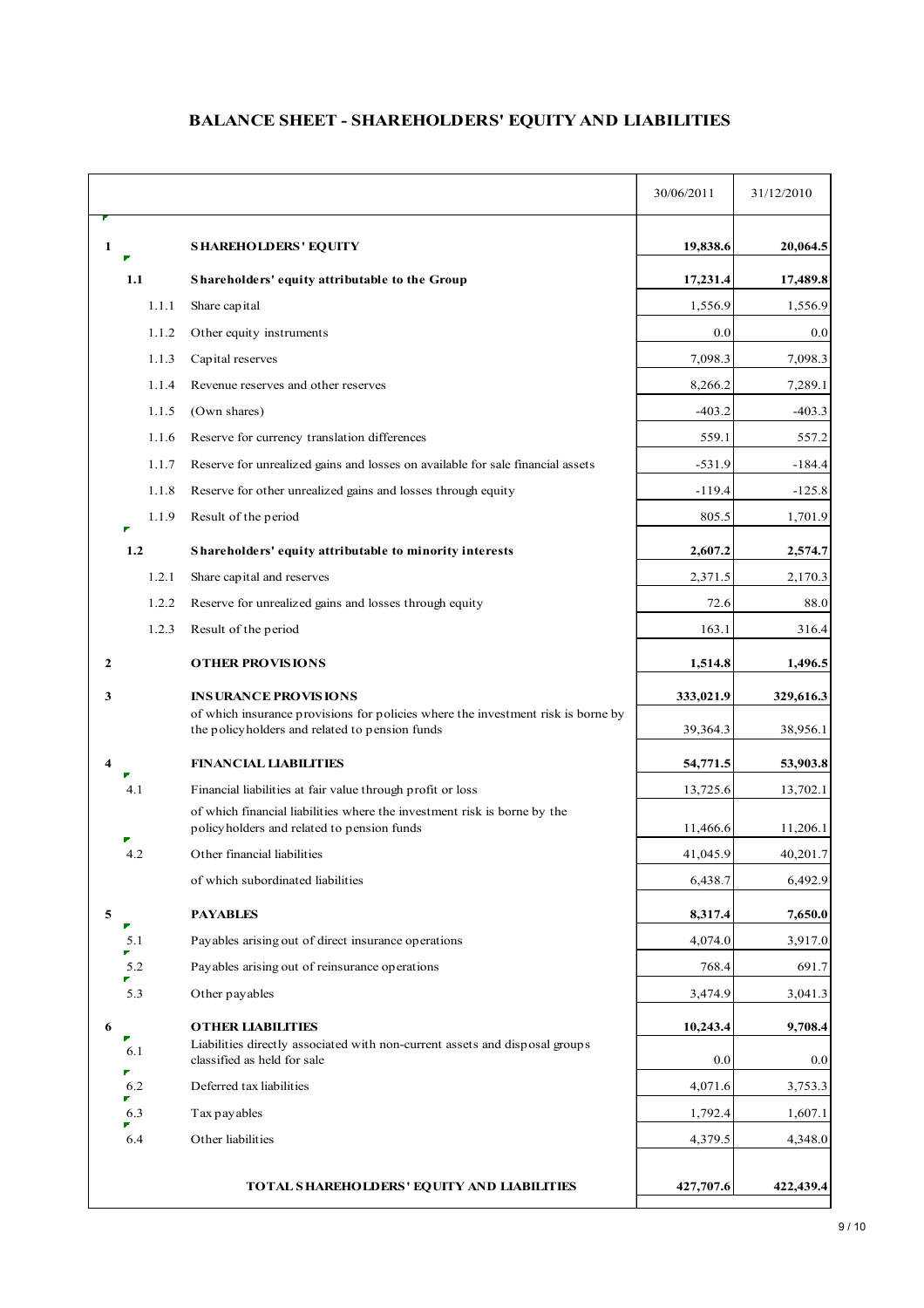## **BALANCE SHEET - SHAREHOLDERS' EQUITY AND LIABILITIES**

|              |       |                                                                                                                                    | 30/06/2011 | 31/12/2010 |
|--------------|-------|------------------------------------------------------------------------------------------------------------------------------------|------------|------------|
| 1            |       | <b>SHAREHOLDERS' EQUITY</b>                                                                                                        | 19,838.6   | 20,064.5   |
|              | 1.1   | Shareholders' equity attributable to the Group                                                                                     | 17,231.4   | 17,489.8   |
|              | 1.1.1 | Share capital                                                                                                                      | 1,556.9    | 1,556.9    |
|              | 1.1.2 | Other equity instruments                                                                                                           | 0.0        | 0.0        |
|              | 1.1.3 | Capital reserves                                                                                                                   | 7,098.3    | 7,098.3    |
|              | 1.1.4 | Revenue reserves and other reserves                                                                                                | 8,266.2    | 7,289.1    |
|              | 1.1.5 | (Own shares)                                                                                                                       | $-403.2$   | $-403.3$   |
|              | 1.1.6 | Reserve for currency translation differences                                                                                       | 559.1      | 557.2      |
|              | 1.1.7 | Reserve for unrealized gains and losses on available for sale financial assets                                                     | $-531.9$   | $-184.4$   |
|              | 1.1.8 | Reserve for other unrealized gains and losses through equity                                                                       | $-119.4$   | $-125.8$   |
|              | 1.1.9 | Result of the period                                                                                                               | 805.5      | 1,701.9    |
|              | 1.2   | Shareholders' equity attributable to minority interests                                                                            | 2,607.2    | 2,574.7    |
|              | 1.2.1 | Share capital and reserves                                                                                                         | 2,371.5    | 2,170.3    |
|              | 1.2.2 | Reserve for unrealized gains and losses through equity                                                                             | 72.6       | 88.0       |
|              | 1.2.3 | Result of the period                                                                                                               | 163.1      | 316.4      |
| $\mathbf{2}$ |       | <b>OTHER PROVISIONS</b>                                                                                                            | 1,514.8    | 1,496.5    |
| 3            |       | <b>INSURANCE PROVISIONS</b>                                                                                                        | 333,021.9  | 329,616.3  |
|              |       | of which insurance provisions for policies where the investment risk is borne by<br>the policyholders and related to pension funds | 39,364.3   | 38,956.1   |
| 4            |       | <b>FINANCIAL LIABILITIES</b>                                                                                                       | 54,771.5   | 53,903.8   |
|              | 4.1   | Financial liabilities at fair value through profit or loss                                                                         | 13,725.6   | 13,702.1   |
|              |       | of which financial liabilities where the investment risk is borne by the<br>policyholders and related to pension funds             | 11,466.6   | 11,206.1   |
|              | 4.2   | Other financial liabilities                                                                                                        | 41,045.9   | 40,201.7   |
|              |       | of which subordinated liabilities                                                                                                  | 6,438.7    | 6,492.9    |
| 5            |       | <b>PAYABLES</b>                                                                                                                    | 8,317.4    | 7,650.0    |
|              | 5.1   | Payables arising out of direct insurance operations                                                                                | 4,074.0    | 3,917.0    |
|              | 5.2   | Payables arising out of reinsurance operations                                                                                     | 768.4      | 691.7      |
|              | 5.3   | Other payables                                                                                                                     | 3,474.9    | 3,041.3    |
| 6            |       | <b>OTHER LIABILITIES</b>                                                                                                           | 10,243.4   | 9,708.4    |
|              | 6.1   | Liabilities directly associated with non-current assets and disposal groups<br>classified as held for sale                         | 0.0        | 0.0        |
|              | 6.2   | Deferred tax liabilities                                                                                                           | 4,071.6    | 3,753.3    |
|              | 6.3   | Tax pay ables                                                                                                                      | 1,792.4    | 1,607.1    |
|              | 6.4   | Other liabilities                                                                                                                  | 4,379.5    | 4,348.0    |
|              |       | TOTAL SHAREHOLDERS' EQUITY AND LIABILITIES                                                                                         | 427,707.6  | 422,439.4  |